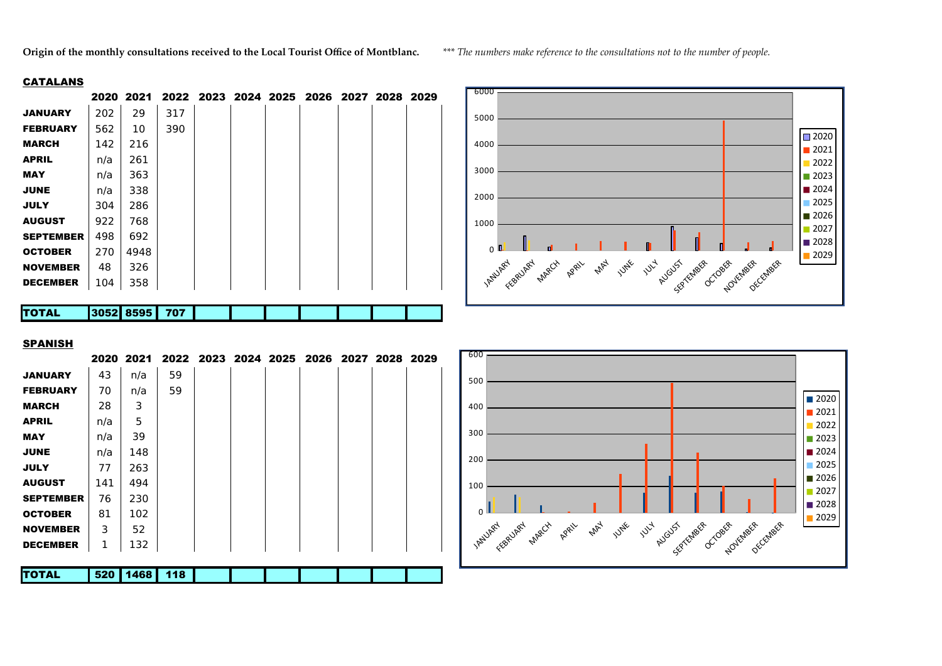**Origin of the monthly consultations received to the Local Tourist Office of Montblanc.** *\*\*\* The numbers make reference to the consultations not to the number of people.*

## **CATALANS**

|                  |      | 2020 2021 |     |  | 2022 2023 2024 2025 2026 2027 2028 2029 |  |  |
|------------------|------|-----------|-----|--|-----------------------------------------|--|--|
| <b>JANUARY</b>   | 202  | 29        | 317 |  |                                         |  |  |
| <b>FEBRUARY</b>  | 562  | 10        | 390 |  |                                         |  |  |
| <b>MARCH</b>     | 142  | 216       |     |  |                                         |  |  |
| <b>APRIL</b>     | n/a  | 261       |     |  |                                         |  |  |
| <b>MAY</b>       | n/a  | 363       |     |  |                                         |  |  |
| <b>JUNE</b>      | n/a  | 338       |     |  |                                         |  |  |
| <b>JULY</b>      | 304  | 286       |     |  |                                         |  |  |
| <b>AUGUST</b>    | 922  | 768       |     |  |                                         |  |  |
| <b>SEPTEMBER</b> | 498  | 692       |     |  |                                         |  |  |
| <b>OCTOBER</b>   | 270  | 4948      |     |  |                                         |  |  |
| <b>NOVEMBER</b>  | 48   | 326       |     |  |                                         |  |  |
| <b>DECEMBER</b>  | 104  | 358       |     |  |                                         |  |  |
|                  |      |           |     |  |                                         |  |  |
| <b>TOTAL</b>     | 3052 | 8595      | 707 |  |                                         |  |  |



## SPANISH

|                  |     |      | 2020 2021 2022 2023 2024 2025 2026 2027 2028 2029 |  |  |  |  |
|------------------|-----|------|---------------------------------------------------|--|--|--|--|
| <b>JANUARY</b>   | 43  | n/a  | 59                                                |  |  |  |  |
| <b>FEBRUARY</b>  | 70  | n/a  | 59                                                |  |  |  |  |
| <b>MARCH</b>     | 28  | 3    |                                                   |  |  |  |  |
| <b>APRIL</b>     | n/a | 5    |                                                   |  |  |  |  |
| <b>MAY</b>       | n/a | 39   |                                                   |  |  |  |  |
| <b>JUNE</b>      | n/a | 148  |                                                   |  |  |  |  |
| <b>JULY</b>      | 77  | 263  |                                                   |  |  |  |  |
| <b>AUGUST</b>    | 141 | 494  |                                                   |  |  |  |  |
| <b>SEPTEMBER</b> | 76  | 230  |                                                   |  |  |  |  |
| <b>OCTOBER</b>   | 81  | 102  |                                                   |  |  |  |  |
| <b>NOVEMBER</b>  | 3   | 52   |                                                   |  |  |  |  |
| <b>DECEMBER</b>  | 1   | 132  |                                                   |  |  |  |  |
| <b>TOTAL</b>     | 520 | 1468 | 118                                               |  |  |  |  |